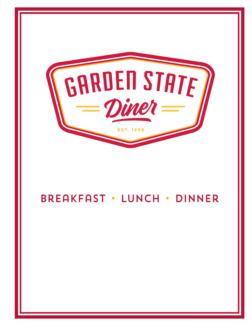

## Breakfast • Lunch • Dinner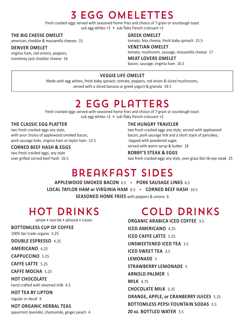# 3 Egg Omelettes

fresh cracked eggs served with seasoned home fries and choice of 7-grain or sourdough toast sub egg whites +2 • sub flaky french croissant +2

## **the big cheese OmeLet**

american, cheddar & mozzarella cheeses 15

### **denVer OmeLet**

virginia ham, red onions, peppers, monterey jack cheddar cheese 16

#### **greek OmeLet**

tomato, feta cheese, fresh baby spinach 15.5

#### **Venetian OmeLet** tomato, mushroom, sausage, mozzarella cheese 17

**meat LOVers OmeLet** bacon, sausage, virginia ham 16.5

## **Veggie Life OmeLet**

Made with egg whites, fresh baby spinach, tomato, peppers, red onion & sliced mushrooms, served with a sliced banana or greek yogurt & granola 19.5

# 2 Egg Platters

fresh cracked eggs served with seasoned home fries and choice of 7-grain or sourdough toast sub egg whites +2 • sub flaky french croissant +2

## **the cLassic egg PLatter**

two fresh cracked eggs any style, with your choice of applewood smoked bacon, pork sausage links, virginia ham or taylor ham 13.5

### **cOrned beef hash & eggs**

two fresh cracked eggs, any style over grilled corned beef hash 16.5

#### **the hUngry traVeLer**

two fresh cracked eggs any style, served with applewood bacon, pork sausage link and a short stack of pancakes, topped with powdered sugar, served with warm syrup & butter 18

### **bObby's steak & eggs**

two fresh cracked eggs any style, over grass fed rib-eye steak 25

# Breakfast Sides

**aPPLewOOd smOked bacOn** 6.5 • **POrk saUsage Links** 6.5 **LOcaL tayLOr ham or Virginia ham** 6.5 • **cOrned beef hash** 10.5 **seasOned hOme fries** with peppers & onions 6

## Hot Drinks

whole • non-fat • almond • cream

## **bOttOmLess cUP Of cOffee**

100% fair trade organic 3.25

**dOUbLe esPressO** 4.25

**americanO** 4.25

**caPPUccinO** 5.25

**caffe Latte** 5.25

**caffe mOcha** 5.25

#### **hOt chOcOLate**

hand crafted with steamed milk 4.5

**hOt tea by LiPtOn**

regular or decaf 4

**hOt Organic herbaL teas**

spearmint lavender, chamomile, ginger peach 4

# Cold Drinks

**Organic arabica iced cOffee** 3.5 **iced americanO** 4.25 **iced caffe Latte** 5.25 **Unsweetened iced tea** 3.5 **iced sweet tea** 3.5 **LemOnade** 5 **strawberry LemOnade** 5 **arnOLd PaLmer** 5 **miLk** 4.75 **chOcOLate miLk** 5.25 **Orange, aPPLe, or cranberry JUices** 5.25 **bOttOmLess PePsi fOUntain sOdas** 3.5 **20 oz. bOttLed water** 3.5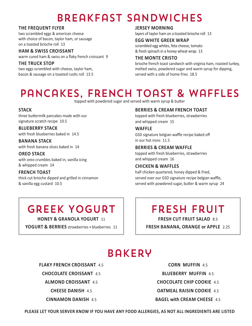# Breakfast Sandwiches

## **the freqUent fLyer**

two scrambled eggs & american cheese with choice of bacon, taylor ham, or sausage on a toasted brioche roll 13

### **ham & swiss crOissant**

warm cured ham & swiss on a flaky french croissant 9

## **the trUck stOP**

two eggs scrambled with cheese, taylor ham, bacon & sausage on a toasted rustic roll 13.5

#### **Jersey mOrning**

layers of taylor ham on a toasted brioche roll 13

#### **egg white greek wraP**

scrambled egg whites, feta cheese, tomato & fresh spinach in a honey wheat wrap 13

### **the mOnte cristO**

brioche french toast sandwich with virginia ham, roasted turkey, melted swiss, powdered sugar and warm syrup for dipping, served with a side of home fries 18.5

## Pancakes, French Toast & Waffles

topped with powdered sugar and served with warm syrup & butter

## **stack**

three buttermilk pancakes made with our signature scratch recipe 10.5

**bLUeberry stack** with fresh blueberries baked in 14.5

**banana stack** with fresh banana slices baked in 14

## **OreO stack**

with oreo crumbles baked in, vanilla icing & whipped cream 14

## **french tOast**

thick cut brioche dipped and grilled in cinnamon & vanilla egg custard 10.5

## **berries & cream french tOast**

topped with fresh blueberries, strawberries and whipped cream 15

**waffLe**

GSD signature belgian waffle recipe baked off in our hot irons 11.5

### **berries & cream waffLe**

topped with fresh blueberries, strawberries and whipped cream 16

## **chicken & waffLes**

half chicken quartered, honey dipped & fried, served over our GSD signature recipe belgian waffle, served with powdered sugar, butter & warm syrup 24

## Greek Yogurt

**hOney & granOLa yOgUrt** 11

**yOgUrt & berries** strawberries • blueberries 11

## Fresh Fruit

**fresh cUt frUit saLad** 8.5 **fresh banana, Orange or aPPLe** 2.25

## Bakery

**fLaky french crOissant** 4.5

**chOcOLate crOissant** 4.5

**aLmOnd crOissant** 4.5

**cheese danish** 4.5

**cinnamOn danish** 4.5

**cOrn mUffin** 4.5 **bLUeberry mUffin** 4.5 **chOcOLate chiP cOOkie** 4.5 **OatmeaL raisin cOOkie** 4.5 **bageL with cream cheese** 4.5

**PLease Let yOUr serVer knOw if yOU haVe any fOOd aLLergies, as nOt aLL ingredients are Listed**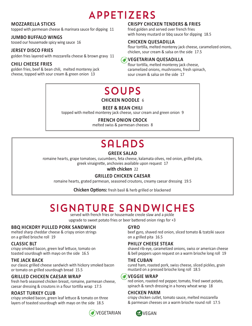# Appetizers

## **mOzzareLLa sticks**

topped with parmesan cheese & marinara sauce for dipping 11

## **JUmbO bUffaLO wings**

tossed our housemade spicy wing sauce 16

## **Jersey discO fries**

golden fries layered with mozzarella cheese & brown gravy 11

## **chiLi cheese fries**

golden fries, beef & bean chili, melted monterey jack cheese, topped with sour cream & green onion 13

## **crisPy chicken tenders & fries**

fried golden and served over french fries with honey mustard or bbq sauce for dipping 18.5

## **chicken qUesadiLLa**

flour tortilla, melted monterey jack cheese, caramelized onions, chicken, sour cream & salsa on the side 17.5

## **Vegetarian qUesadiLLa**

flour tortilla, melted monterey jack cheese, caramelized onions, mushrooms, fresh spinach, sour cream & salsa on the side 17

# **SOUPS**

**chicken nOOdLe** 6

## **beef & bean chiLi**

topped with melted monterey jack cheese, sour cream and green onion 9

## **french OniOn crOck**

melted swiss & parmesan cheeses 8

# **SALADS**

## **greek saLad**

romaine hearts, grape tomatoes, cucumbers, feta cheese, kalamata olives, red onion, grilled pita, greek vinaigrette, anchovies available upon request 17

**with chicken** 22

## **griLLed chicken caesar**

romaine hearts, grated parmesan, seasoned croutons, creamy caesar dressing 19.5

**chicken Options:** fresh basil & herb grilled or blackened

# Signature Sandwiches

served with french fries or housemade creole slaw and a pickle

upgrade to sweet potato fries or beer battered onion rings for +3

## **bbq hickOry PULLed POrk sandwich**

melted sharp cheddar cheese & crispy onion strings on a grilled brioche roll 19

## **cLassic bLt**

crispy smoked bacon, green leaf lettuce, tomato on toasted sourdough with mayo on the side 16.5

## **the Jack back**

our classic grilled cheese sandwich with hickory smoked bacon or tomato on grilled sourdough bread 15.5

## **griLLed chicken caesar wraP**

fresh herb seasoned chicken breast, romaine, parmesan cheese, caesar dressing & croutons in a flour tortilla wrap 17.5

## **rOast tUrkey cLUb**

crispy smoked bacon, green leaf lettuce & tomato on three layers of toasted sourdough with mayo on the side 18.5



## **gyrO**

beef gyro, shaved red onion, sliced tomato & tzatziki sauce on a grilled pita 16.5

## **PhiLLy cheese steak**

shaved rib-eye, caramelized onions, swiss or american cheese & bell peppers upon request on a warm brioche long roll 19

## **the cUban**

cured ham, roasted pork, swiss cheese, sliced pickles, grain mustard on a pressed brioche long roll 18.5

## **Veggie wraP**

red onion, roasted red pepper, tomato, fried sweet potato, spinach & ranch dressing in a honey wheat wrap 18

## **chicken Parm**

crispy chicken cutlet, tomato sauce, melted mozzarella & parmesan cheeses on a warm brioche round roll 17.5

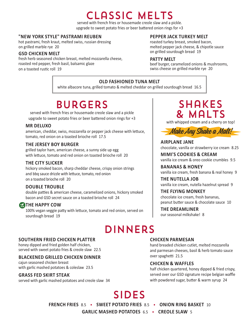## Classic Melts

served with french fries or housemade creole slaw and a pickle. upgrade to sweet potato fries or beer battered onion rings for +3

### **"new yOrk styLe" Pastrami reUben**

hot pastrami, fresh kraut, melted swiss, russian dressing on grilled marble rye 20

## **gsd chicken meLt**

fresh herb seasoned chicken breast, melted mozzarella cheese, roasted red pepper, fresh basil, balsamic glaze on a toasted rustic roll 19

#### **PePPer Jack tUrkey meLt**

roasted turkey breast, smoked bacon, melted pepper jack cheese, & chipotle sauce on grilled sourdough bread 19

#### **Patty meLt**

beef burger, caramelized onions & mushrooms, swiss cheese on grilled marble rye 20

## **OLd fashiOned tUna meLt**

white albacore tuna, grilled tomato & melted cheddar on grilled sourdough bread 16.5

# **BURGERS**

served with french fries or housemade creole slaw and a pickle upgrade to sweet potato fries or beer battered onion rings for +3

### **mr deLUxO**

american, cheddar, swiss, mozzarella or pepper jack cheese with lettuce, tomato, red onion on a toasted brioche roll 17.5

#### **the Jersey bOy bUrger**

grilled taylor ham, american cheese, a sunny side up egg with lettuce, tomato and red onion on toasted brioche roll 20

## **the city sLicker**

hickory smoked bacon, sharp cheddar cheese, crispy onion strings and bbq sauce drizzle with lettuce, tomato, red onion on a toasted brioche roll 20

## **dOUbLe trOUbLe**

double patties & american cheese, caramelized onions, hickory smoked bacon and GSD secret sauce on a toasted brioche roll 24

## **EXTHE HAPPY COW**

100% vegan veggie patty with lettuce, tomato and red onion, served on sourdough bread 19

## **DINNERS**

#### **sOUthern fried chicken PLatter**

honey dipped and fried golden half chicken, served with sweet potato fries & creole slaw 22.5

## **bLackened griLLed chicken dinner**

cajun seasoned chicken breast with garlic mashed potatoes & coleslaw 23.5

#### **grass fed skirt steak**

served with garlic mashed potatoes and creole slaw 34

## **SHAKES** & Malts

with whipped cream and a cherry on top!



**airPLane Jane** chocolate, vanilla or strawberry ice cream 8.25

**mimi's cOOkies & cream** vanilla ice cream & oreo cookie crumbles 9.5

**bananas & hOney** vanilla ice cream, fresh banana & real honey 9

**the nUteLLa JOb** vanilla ice cream, nutella hazelnut spread 9

**the fLying mOnkey** chocolate ice cream, fresh bananas, peanut butter sauce & chocolate sauce 10

**the dreamLiner** our seasonal milkshake! 8

#### **chicken Parmesan**

hand breaded chicken cutlet, melted mozzarella and parmesan cheeses, basil & herb tomato sauce over spaghetti 21.5

#### **chicken & waffLes**

half chicken quartered, honey dipped & fried crispy, served over our GSD signature recipe belgian waffle with powdered sugar, butter & warm syrup 24

# **SIDES**

**french fries** 8.5 • **sweet POtatO fries** 8.5 • **OniOn ring basket** 10

**garLic mashed POtatOes** 6.5 • **creOLe sLaw** 5